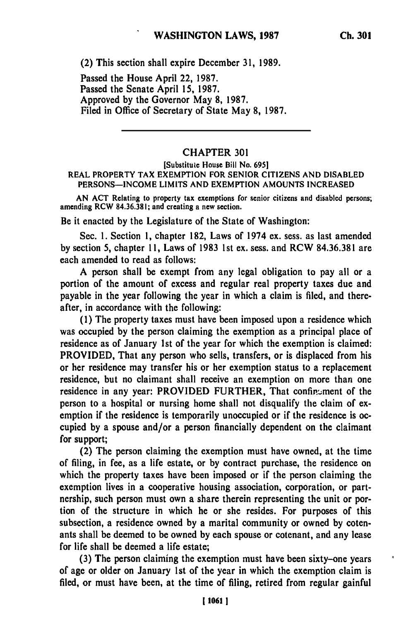(2) This section shall expire December **31, 1989.**

Passed the House April 22, **1987.** Passed the Senate April **15, 1987.** Approved **by** the Governor May **8, 1987.** Filed in Office of Secretary of State May **8, 1987.**

## CHAPTER **301**

## [Substitute House Bill No. **6951** REAL PROPERTY TAX **EXEMPTION** FOR SENIOR **CITIZENS AND DISABLED PERSONS-INCOME** LIMITS **AND** EXEMPTION **AMOUNTS INCREASED**

**AN ACT** Relating to property tax exemptions for senior citizens and disabled persons; amending RCW **84.36.381;** and creating a new section.

Be it enacted **by** the Legislature of the State of Washington:

Sec. **1.** Section **1,** chapter **182,** Laws of 1974 **ex.** sess. as last amended **by** section **5,** chapter **11,** Laws of **1983** 1st ex. sess. and RCW **84.36.381** are each amended to read as follows:

**A** person shall **be** exempt from any legal obligation to pay all or a portion of the amount of excess and regular real property taxes due and payable in the year following the year in which a claim is filed, and thereafter, in accordance with the following:

**(1)** The property taxes must have been imposed upon a residence which was occupied **by** the person claiming the exemption as a principal place of residence as of January **1st** of the year for which the exemption is claimed: PROVIDED, That any person who sells, transfers, or is displaced from his or her residence may transfer his or her exemption status to a replacement residence, but no claimant shall receive an exemption on more than one residence in any year: PROVIDED FURTHER, That confinement of the person to a hospital or nursing home shall not disqualify **the** claim of exemption if the residence is temporarily unoccupied or if the residence is occupied **by** a spouse and/or a person financially dependent on the claimant for support;

(2) The person claiming the exemption must have owned, at the time of filing, in fee, as a life estate, or **by** contract purchase, the residence on which the property taxes have been imposed or if the person claiming the exemption lives in a cooperative housing association, corporation, or partnership, such person must own a share therein representing the unit or portion of the structure in which he or she resides. For purposes of this subsection, a residence owned **by** a marital community or owned **by** cotenants shall be deemed to be owned **by** each spouse or cotenant, and any lease for life shall be deemed a life estate;

**(3)** The person claiming the exemption must have been sixty-one years of age or older on January **1st** of the year in which the exemption claim is filed, or must have been, at the time of filing, retired from regular gainful